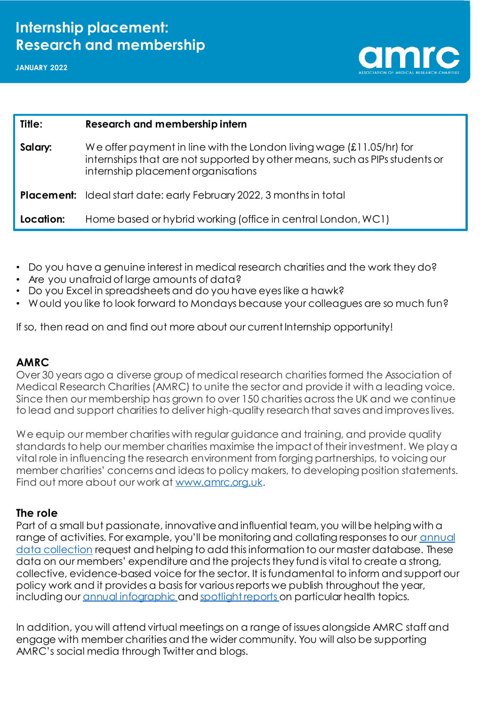**JANUARY 2022**



| Title:    | <b>Research and membership intern</b>                                                                                                                                                       |
|-----------|---------------------------------------------------------------------------------------------------------------------------------------------------------------------------------------------|
| Salary:   | We offer payment in line with the London living wage $(£11.05/hr)$ for<br>internships that are not supported by other means, such as PIPs students or<br>internship placement organisations |
|           | <b>Placement:</b> Ideal start date: early February 2022, 3 months in total                                                                                                                  |
| Location: | Home based or hybrid working (office in central London, WC1)                                                                                                                                |

- Do you have a genuine interest in medical research charities and the work they do?
- Are you unafraid of large amounts of data?
- Do you Excel in spreadsheets and do you have eyes like a hawk?
- Would you like to look forward to Mondays because your colleagues are so much fun?

If so, then read on and find out more about our current Internship opportunity!

## **AMRC**

Over 30 years ago a diverse group of medical research charities formed the Association of Medical Research Charities (AMRC) to unite the sector and provide it with a leading voice. Since then our membership has grown to over 150 charities across the UK and we continue to lead and support charities to deliver high-quality research that saves and improves lives.

We equip our member charities with regular guidance and training, and provide quality standards to help our member charities maximise the impact of their investment. We play a vital role in influencing the research environment from forging partnerships, to voicing our member charities' concerns and ideas to policy makers, to developing position statements. Find out more about our work at [www.amrc.org.uk.](http://www.amrc.org.uk/)

#### **The role**

Part of a small but passionate, innovative and influential team, you will be helping with a [range of activities. For example, you'll be monitoring and collating responses to our](https://www.amrc.org.uk/annual-data-collection) annual data collection request and helping to add this information to our master database. These data on our members' expenditure and the projects they fund is vital to create a strong, collective, evidence-based voice for the sector. It is fundamental to inform and support our policy work and it provides a basis for various reports we publish throughout the year, including our [annual infographic a](https://www.amrc.org.uk/our-sectors-footprint-in-2020)nd [spotlight reports o](https://www.amrc.org.uk/Pages/Category/sector-infographics-and-reports?Take=19)n particular health topics.

In addition, you will attend virtual meetings on a range of issues alongside AMRC staff and engage with member charities and the wider community. You will also be supporting AMRC's social media through Twitter and blogs.